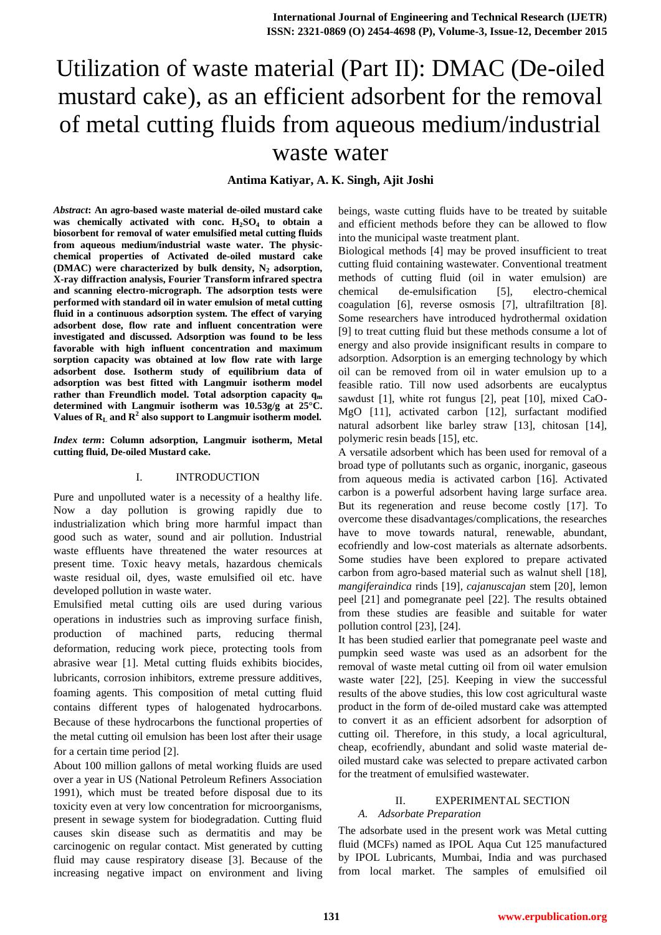# Utilization of waste material (Part II): DMAC (De-oiled mustard cake), as an efficient adsorbent for the removal of metal cutting fluids from aqueous medium/industrial waste water

**Antima Katiyar, A. K. Singh, Ajit Joshi**

*Abstract***: An agro-based waste material de-oiled mustard cake was chemically activated with conc. H2SO<sup>4</sup> to obtain a biosorbent for removal of water emulsified metal cutting fluids from aqueous medium/industrial waste water. The physicchemical properties of Activated de-oiled mustard cake (DMAC) were characterized by bulk density, N<sup>2</sup> adsorption, X-ray diffraction analysis, Fourier Transform infrared spectra and scanning electro-micrograph. The adsorption tests were performed with standard oil in water emulsion of metal cutting fluid in a continuous adsorption system. The effect of varying adsorbent dose, flow rate and influent concentration were investigated and discussed. Adsorption was found to be less favorable with high influent concentration and maximum sorption capacity was obtained at low flow rate with large adsorbent dose. Isotherm study of equilibrium data of adsorption was best fitted with Langmuir isotherm model rather than Freundlich model. Total adsorption capacity q<sup>m</sup> determined with Langmuir isotherm was 10.53g/g at 25°C. Values of R<sup>L</sup> and R<sup>2</sup> also support to Langmuir isotherm model.**

*Index term***: Column adsorption, Langmuir isotherm, Metal cutting fluid, De-oiled Mustard cake.**

### I. INTRODUCTION

Pure and unpolluted water is a necessity of a healthy life. Now a day pollution is growing rapidly due to industrialization which bring more harmful impact than good such as water, sound and air pollution. Industrial waste effluents have threatened the water resources at present time. Toxic heavy metals, hazardous chemicals waste residual oil, dyes, waste emulsified oil etc. have developed pollution in waste water.

Emulsified metal cutting oils are used during various operations in industries such as improving surface finish, production of machined parts, reducing thermal deformation, reducing work piece, protecting tools from abrasive wear [1]. Metal cutting fluids exhibits biocides, lubricants, corrosion inhibitors, extreme pressure additives, foaming agents. This composition of metal cutting fluid contains different types of halogenated hydrocarbons. Because of these hydrocarbons the functional properties of the metal cutting oil emulsion has been lost after their usage for a certain time period [2].

About 100 million gallons of metal working fluids are used over a year in US (National Petroleum Refiners Association 1991), which must be treated before disposal due to its toxicity even at very low concentration for microorganisms, present in sewage system for biodegradation. Cutting fluid causes skin disease such as dermatitis and may be carcinogenic on regular contact. Mist generated by cutting fluid may cause respiratory disease [3]. Because of the increasing negative impact on environment and living beings, waste cutting fluids have to be treated by suitable and efficient methods before they can be allowed to flow into the municipal waste treatment plant.

Biological methods [4] may be proved insufficient to treat cutting fluid containing wastewater. Conventional treatment methods of cutting fluid (oil in water emulsion) are chemical de-emulsification [5], electro-chemical coagulation [6], reverse osmosis [7], ultrafiltration [8]. Some researchers have introduced hydrothermal oxidation [9] to treat cutting fluid but these methods consume a lot of energy and also provide insignificant results in compare to adsorption. Adsorption is an emerging technology by which oil can be removed from oil in water emulsion up to a feasible ratio. Till now used adsorbents are eucalyptus sawdust [1], white rot fungus [2], peat [10], mixed CaO-MgO [11], activated carbon [12], surfactant modified natural adsorbent like barley straw [13], chitosan [14], polymeric resin beads [15], etc.

A versatile adsorbent which has been used for removal of a broad type of pollutants such as organic, inorganic, gaseous from aqueous media is activated carbon [16]. Activated carbon is a powerful adsorbent having large surface area. But its regeneration and reuse become costly [17]. To overcome these disadvantages/complications, the researches have to move towards natural, renewable, abundant, ecofriendly and low-cost materials as alternate adsorbents. Some studies have been explored to prepare activated carbon from agro-based material such as walnut shell [18], *mangiferaindica* rinds [19]*, cajanuscajan* stem [20], lemon peel [21] and pomegranate peel [22]. The results obtained from these studies are feasible and suitable for water pollution control [23], [24].

It has been studied earlier that pomegranate peel waste and pumpkin seed waste was used as an adsorbent for the removal of waste metal cutting oil from oil water emulsion waste water [22], [25]. Keeping in view the successful results of the above studies, this low cost agricultural waste product in the form of de-oiled mustard cake was attempted to convert it as an efficient adsorbent for adsorption of cutting oil. Therefore, in this study, a local agricultural, cheap, ecofriendly, abundant and solid waste material deoiled mustard cake was selected to prepare activated carbon for the treatment of emulsified wastewater.

## II. EXPERIMENTAL SECTION *A. Adsorbate Preparation*

The adsorbate used in the present work was Metal cutting fluid (MCFs) named as IPOL Aqua Cut 125 manufactured by IPOL Lubricants, Mumbai, India and was purchased from local market. The samples of emulsified oil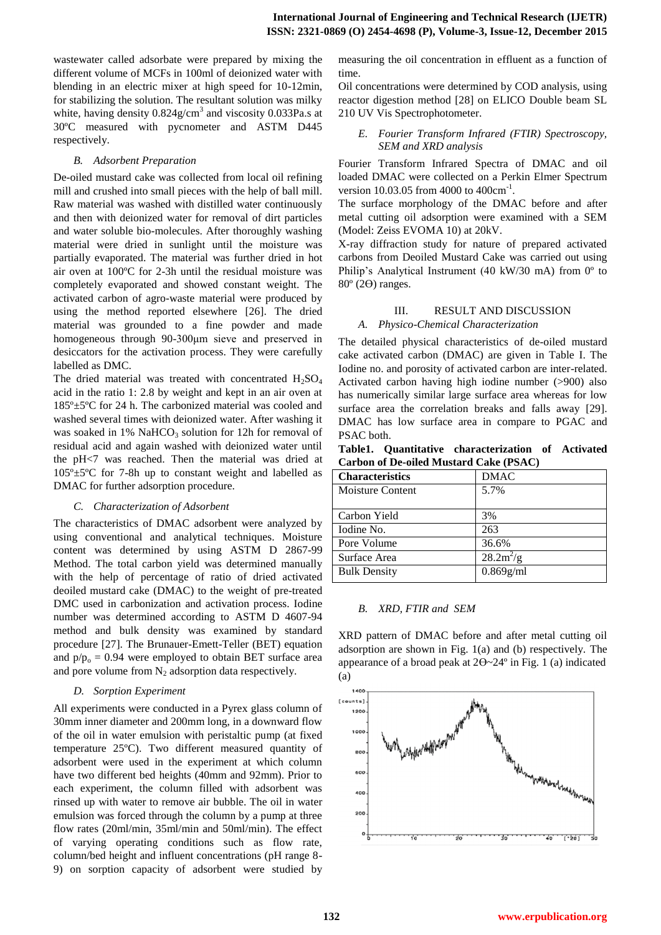wastewater called adsorbate were prepared by mixing the different volume of MCFs in 100ml of deionized water with blending in an electric mixer at high speed for 10-12min, for stabilizing the solution. The resultant solution was milky white, having density  $0.824$ g/cm<sup>3</sup> and viscosity  $0.033$ Pa.s at 30ºC measured with pycnometer and ASTM D445 respectively.

# *B. Adsorbent Preparation*

De-oiled mustard cake was collected from local oil refining mill and crushed into small pieces with the help of ball mill. Raw material was washed with distilled water continuously and then with deionized water for removal of dirt particles and water soluble bio-molecules. After thoroughly washing material were dried in sunlight until the moisture was partially evaporated. The material was further dried in hot air oven at 100ºC for 2-3h until the residual moisture was completely evaporated and showed constant weight. The activated carbon of agro-waste material were produced by using the method reported elsewhere [26]. The dried material was grounded to a fine powder and made homogeneous through 90-300μm sieve and preserved in desiccators for the activation process. They were carefully labelled as DMC.

The dried material was treated with concentrated  $H_2SO_4$ acid in the ratio 1: 2.8 by weight and kept in an air oven at 185º±5ºC for 24 h. The carbonized material was cooled and washed several times with deionized water. After washing it was soaked in  $1\%$  NaHCO<sub>3</sub> solution for 12h for removal of residual acid and again washed with deionized water until the pH<7 was reached. Then the material was dried at 105º±5ºC for 7-8h up to constant weight and labelled as DMAC for further adsorption procedure.

# *C. Characterization of Adsorbent*

The characteristics of DMAC adsorbent were analyzed by using conventional and analytical techniques. Moisture content was determined by using ASTM D 2867-99 Method. The total carbon yield was determined manually with the help of percentage of ratio of dried activated deoiled mustard cake (DMAC) to the weight of pre-treated DMC used in carbonization and activation process. Iodine number was determined according to ASTM D 4607-94 method and bulk density was examined by standard procedure [27]. The Brunauer-Emett-Teller (BET) equation and  $p/p_0 = 0.94$  were employed to obtain BET surface area and pore volume from  $N_2$  adsorption data respectively.

# *D. Sorption Experiment*

All experiments were conducted in a Pyrex glass column of 30mm inner diameter and 200mm long, in a downward flow of the oil in water emulsion with peristaltic pump (at fixed temperature 25ºC). Two different measured quantity of adsorbent were used in the experiment at which column have two different bed heights (40mm and 92mm). Prior to each experiment, the column filled with adsorbent was rinsed up with water to remove air bubble. The oil in water emulsion was forced through the column by a pump at three flow rates (20ml/min, 35ml/min and 50ml/min). The effect of varying operating conditions such as flow rate, column/bed height and influent concentrations (pH range 8- 9) on sorption capacity of adsorbent were studied by measuring the oil concentration in effluent as a function of time.

Oil concentrations were determined by COD analysis, using reactor digestion method [28] on ELICO Double beam SL 210 UV Vis Spectrophotometer.

# *E. Fourier Transform Infrared (FTIR) Spectroscopy, SEM and XRD analysis*

Fourier Transform Infrared Spectra of DMAC and oil loaded DMAC were collected on a Perkin Elmer Spectrum version 10.03.05 from 4000 to 400cm<sup>-1</sup>.

The surface morphology of the DMAC before and after metal cutting oil adsorption were examined with a SEM (Model: Zeiss EVOMA 10) at 20kV.

X-ray diffraction study for nature of prepared activated carbons from Deoiled Mustard Cake was carried out using Philip's Analytical Instrument (40 kW/30 mA) from 0º to 80º (2ϴ) ranges.

# III. RESULT AND DISCUSSION *A. Physico-Chemical Characterization*

The detailed physical characteristics of de-oiled mustard cake activated carbon (DMAC) are given in Table I. The Iodine no. and porosity of activated carbon are inter-related. Activated carbon having high iodine number (>900) also has numerically similar large surface area whereas for low surface area the correlation breaks and falls away [29]. DMAC has low surface area in compare to PGAC and PSAC both.

**Table1. Quantitative characterization of Activated Carbon of De-oiled Mustard Cake (PSAC)** 

| <b>Characteristics</b> | <b>DMAC</b>  |
|------------------------|--------------|
| Moisture Content       | 5.7%         |
|                        |              |
| Carbon Yield           | 3%           |
| Iodine No.             | 263          |
| Pore Volume            | 36.6%        |
| Surface Area           | $28.2 m^2/g$ |
| <b>Bulk Density</b>    | $0.869$ g/ml |
|                        |              |

# *B. XRD, FTIR and SEM*

XRD pattern of DMAC before and after metal cutting oil adsorption are shown in Fig. 1(a) and (b) respectively. The appearance of a broad peak at  $2\theta \sim 24^\circ$  in Fig. 1 (a) indicated (a)

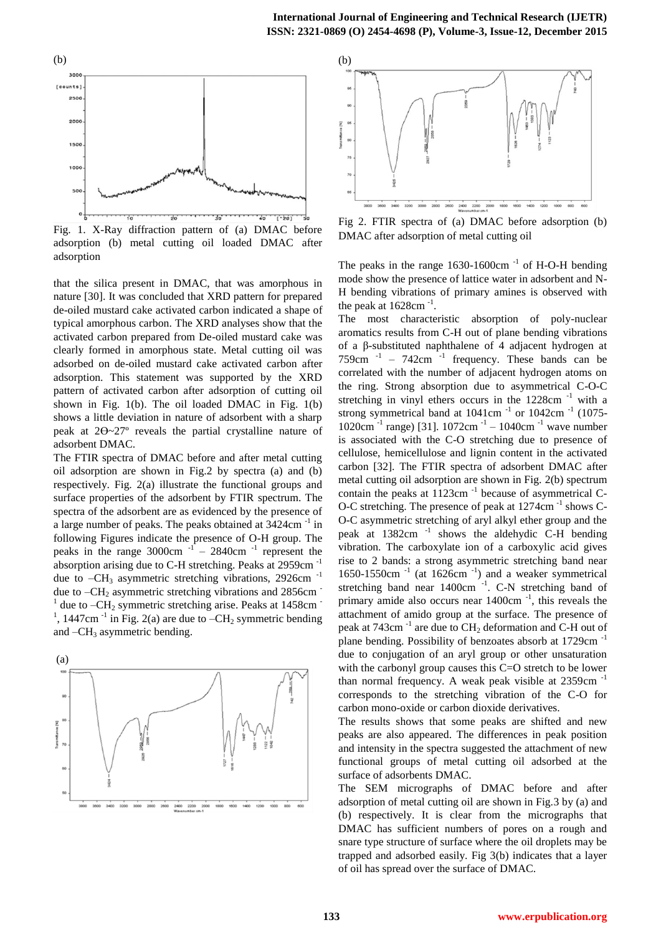

Fig. 1. X-Ray diffraction pattern of (a) DMAC before adsorption (b) metal cutting oil loaded DMAC after adsorption

that the silica present in DMAC, that was amorphous in nature [30]. It was concluded that XRD pattern for prepared de-oiled mustard cake activated carbon indicated a shape of typical amorphous carbon. The XRD analyses show that the activated carbon prepared from De-oiled mustard cake was clearly formed in amorphous state. Metal cutting oil was adsorbed on de-oiled mustard cake activated carbon after adsorption. This statement was supported by the XRD pattern of activated carbon after adsorption of cutting oil shown in Fig. 1(b). The oil loaded DMAC in Fig. 1(b) shows a little deviation in nature of adsorbent with a sharp peak at 2ϴ~27º reveals the partial crystalline nature of adsorbent DMAC.

The FTIR spectra of DMAC before and after metal cutting oil adsorption are shown in Fig.2 by spectra (a) and (b) respectively. Fig. 2(a) illustrate the functional groups and surface properties of the adsorbent by FTIR spectrum. The spectra of the adsorbent are as evidenced by the presence of a large number of peaks. The peaks obtained at 3424cm<sup>-1</sup> in following Figures indicate the presence of O-H group. The peaks in the range  $3000 \text{cm}^{-1}$  – 2840cm<sup>-1</sup> represent the absorption arising due to C-H stretching. Peaks at 2959cm -1 due to  $-CH_3$  asymmetric stretching vibrations, 2926cm  $^{-1}$ due to  $-CH_2$  asymmetric stretching vibrations and 2856cm  $\overline{C}$  $1$  due to  $-CH_2$  symmetric stretching arise. Peaks at 1458cm  $^{-1}$ <sup>1</sup>, 1447cm<sup>-1</sup> in Fig. 2(a) are due to  $-CH_2$  symmetric bending and  $-CH_3$  asymmetric bending.





Fig 2. FTIR spectra of (a) DMAC before adsorption (b) DMAC after adsorption of metal cutting oil

The peaks in the range  $1630-1600 \text{cm}^{-1}$  of H-O-H bending mode show the presence of lattice water in adsorbent and N-H bending vibrations of primary amines is observed with the peak at  $1628 \text{cm}^{-1}$ .

The most characteristic absorption of poly-nuclear aromatics results from C-H out of plane bending vibrations of a β-substituted naphthalene of 4 adjacent hydrogen at  $759 \text{cm}^{-1}$  –  $742 \text{cm}^{-1}$  frequency. These bands can be correlated with the number of adjacent hydrogen atoms on the ring. Strong absorption due to asymmetrical C-O-C stretching in vinyl ethers occurs in the  $1228 \text{cm}^{-1}$  with a strong symmetrical band at  $1041 \text{cm}^{-1}$  or  $1042 \text{cm}^{-1}$  (1075-1020cm -1 range) [31]. 1072cm -1 – 1040cm -1 wave number is associated with the C-O stretching due to presence of cellulose, hemicellulose and lignin content in the activated carbon [32]. The FTIR spectra of adsorbent DMAC after metal cutting oil adsorption are shown in Fig. 2(b) spectrum contain the peaks at  $1123$ cm<sup>-1</sup> because of asymmetrical C-O-C stretching. The presence of peak at 1274cm<sup>-1</sup> shows C-O-C asymmetric stretching of aryl alkyl ether group and the peak at 1382cm <sup>-1</sup> shows the aldehydic C-H bending vibration. The carboxylate ion of a carboxylic acid gives rise to 2 bands: a strong asymmetric stretching band near 1650-1550cm  $^{-1}$  (at 1626cm  $^{-1}$ ) and a weaker symmetrical stretching band near  $1400 \text{cm}^{-1}$ . C-N stretching band of primary amide also occurs near 1400cm<sup>-1</sup>, this reveals the attachment of amido group at the surface. The presence of peak at 743cm $^{-1}$  are due to  $CH_2$  deformation and C-H out of plane bending. Possibility of benzoates absorb at 1729cm -1 due to conjugation of an aryl group or other unsaturation with the carbonyl group causes this C=O stretch to be lower than normal frequency. A weak peak visible at  $2359 \text{cm}^{-1}$ corresponds to the stretching vibration of the C-O for carbon mono-oxide or carbon dioxide derivatives.

The results shows that some peaks are shifted and new peaks are also appeared. The differences in peak position and intensity in the spectra suggested the attachment of new functional groups of metal cutting oil adsorbed at the surface of adsorbents DMAC.

The SEM micrographs of DMAC before and after adsorption of metal cutting oil are shown in Fig.3 by (a) and (b) respectively. It is clear from the micrographs that DMAC has sufficient numbers of pores on a rough and snare type structure of surface where the oil droplets may be trapped and adsorbed easily. Fig 3(b) indicates that a layer of oil has spread over the surface of DMAC.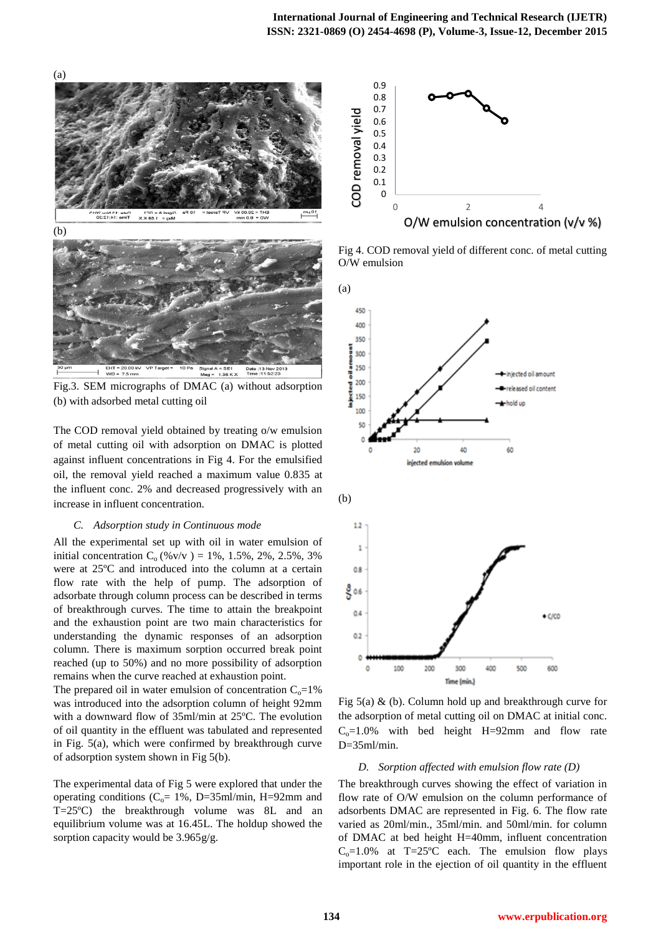

Fig.3. SEM micrographs of DMAC (a) without adsorption (b) with adsorbed metal cutting oil

The COD removal yield obtained by treating o/w emulsion of metal cutting oil with adsorption on DMAC is plotted against influent concentrations in Fig 4. For the emulsified oil, the removal yield reached a maximum value 0.835 at the influent conc. 2% and decreased progressively with an increase in influent concentration.

#### *C. Adsorption study in Continuous mode*

All the experimental set up with oil in water emulsion of initial concentration  $C_0$  (%v/v) = 1%, 1.5%, 2%, 2.5%, 3% were at 25ºC and introduced into the column at a certain flow rate with the help of pump. The adsorption of adsorbate through column process can be described in terms of breakthrough curves. The time to attain the breakpoint and the exhaustion point are two main characteristics for understanding the dynamic responses of an adsorption column. There is maximum sorption occurred break point reached (up to 50%) and no more possibility of adsorption remains when the curve reached at exhaustion point.

The prepared oil in water emulsion of concentration  $C_0=1\%$ was introduced into the adsorption column of height 92mm with a downward flow of 35ml/min at 25ºC. The evolution of oil quantity in the effluent was tabulated and represented in Fig. 5(a), which were confirmed by breakthrough curve of adsorption system shown in Fig 5(b).

The experimental data of Fig 5 were explored that under the operating conditions ( $C_0$ = 1%, D=35ml/min, H=92mm and T=25ºC) the breakthrough volume was 8L and an equilibrium volume was at 16.45L. The holdup showed the sorption capacity would be  $3.965g/g$ .



Fig 4. COD removal yield of different conc. of metal cutting O/W emulsion



Fig  $5(a)$  & (b). Column hold up and breakthrough curve for the adsorption of metal cutting oil on DMAC at initial conc.  $C<sub>o</sub>=1.0%$  with bed height H=92mm and flow rate D=35ml/min.

## *D. Sorption affected with emulsion flow rate (D)*

The breakthrough curves showing the effect of variation in flow rate of O/W emulsion on the column performance of adsorbents DMAC are represented in Fig. 6. The flow rate varied as 20ml/min., 35ml/min. and 50ml/min. for column of DMAC at bed height H=40mm, influent concentration  $C_0$ =1.0% at T=25°C each. The emulsion flow plays important role in the ejection of oil quantity in the effluent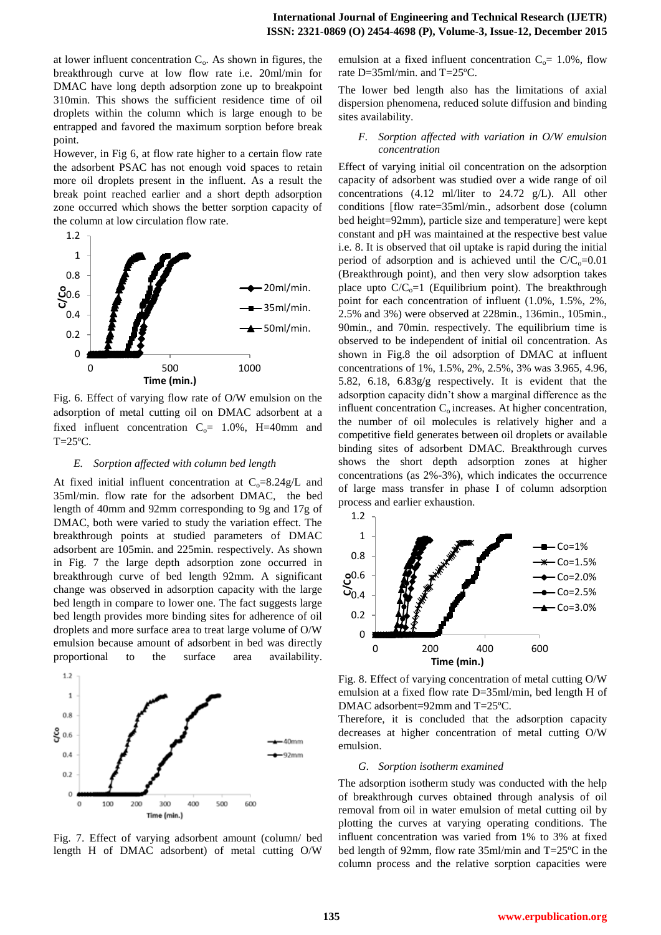at lower influent concentration  $C_0$ . As shown in figures, the breakthrough curve at low flow rate i.e. 20ml/min for DMAC have long depth adsorption zone up to breakpoint 310min. This shows the sufficient residence time of oil droplets within the column which is large enough to be entrapped and favored the maximum sorption before break point.

However, in Fig 6, at flow rate higher to a certain flow rate the adsorbent PSAC has not enough void spaces to retain more oil droplets present in the influent. As a result the break point reached earlier and a short depth adsorption zone occurred which shows the better sorption capacity of the column at low circulation flow rate.



Fig. 6. Effect of varying flow rate of O/W emulsion on the adsorption of metal cutting oil on DMAC adsorbent at a fixed influent concentration  $C_0$ = 1.0%, H=40mm and  $T=25^{\circ}C$ .

#### *E. Sorption affected with column bed length*

At fixed initial influent concentration at  $C_0=8.24g/L$  and 35ml/min. flow rate for the adsorbent DMAC, the bed length of 40mm and 92mm corresponding to 9g and 17g of DMAC, both were varied to study the variation effect. The breakthrough points at studied parameters of DMAC adsorbent are 105min. and 225min. respectively. As shown in Fig. 7 the large depth adsorption zone occurred in breakthrough curve of bed length 92mm. A significant change was observed in adsorption capacity with the large bed length in compare to lower one. The fact suggests large bed length provides more binding sites for adherence of oil droplets and more surface area to treat large volume of O/W emulsion because amount of adsorbent in bed was directly proportional to the surface area availability.



Fig. 7. Effect of varying adsorbent amount (column/ bed length H of DMAC adsorbent) of metal cutting O/W

emulsion at a fixed influent concentration  $C_0$ = 1.0%, flow rate D=35ml/min. and T=25ºC.

The lower bed length also has the limitations of axial dispersion phenomena, reduced solute diffusion and binding sites availability.

## *F. Sorption affected with variation in O/W emulsion concentration*

Effect of varying initial oil concentration on the adsorption capacity of adsorbent was studied over a wide range of oil concentrations (4.12 ml/liter to 24.72 g/L). All other conditions [flow rate=35ml/min., adsorbent dose (column bed height=92mm), particle size and temperature] were kept constant and pH was maintained at the respective best value i.e. 8. It is observed that oil uptake is rapid during the initial period of adsorption and is achieved until the  $C/C_0=0.01$ (Breakthrough point), and then very slow adsorption takes place upto  $C/C<sub>o</sub>=1$  (Equilibrium point). The breakthrough point for each concentration of influent (1.0%, 1.5%, 2%, 2.5% and 3%) were observed at 228min., 136min., 105min., 90min., and 70min. respectively. The equilibrium time is observed to be independent of initial oil concentration. As shown in Fig.8 the oil adsorption of DMAC at influent concentrations of 1%, 1.5%, 2%, 2.5%, 3% was 3.965, 4.96, 5.82, 6.18, 6.83g/g respectively. It is evident that the adsorption capacity didn't show a marginal difference as the influent concentration  $C_0$  increases. At higher concentration, the number of oil molecules is relatively higher and a competitive field generates between oil droplets or available binding sites of adsorbent DMAC. Breakthrough curves shows the short depth adsorption zones at higher concentrations (as 2%-3%), which indicates the occurrence of large mass transfer in phase I of column adsorption process and earlier exhaustion.



Fig. 8. Effect of varying concentration of metal cutting O/W emulsion at a fixed flow rate D=35ml/min, bed length H of DMAC adsorbent=92mm and T=25ºC.

Therefore, it is concluded that the adsorption capacity decreases at higher concentration of metal cutting O/W emulsion.

## *G. Sorption isotherm examined*

The adsorption isotherm study was conducted with the help of breakthrough curves obtained through analysis of oil removal from oil in water emulsion of metal cutting oil by plotting the curves at varying operating conditions. The influent concentration was varied from 1% to 3% at fixed bed length of 92mm, flow rate 35ml/min and T=25ºC in the column process and the relative sorption capacities were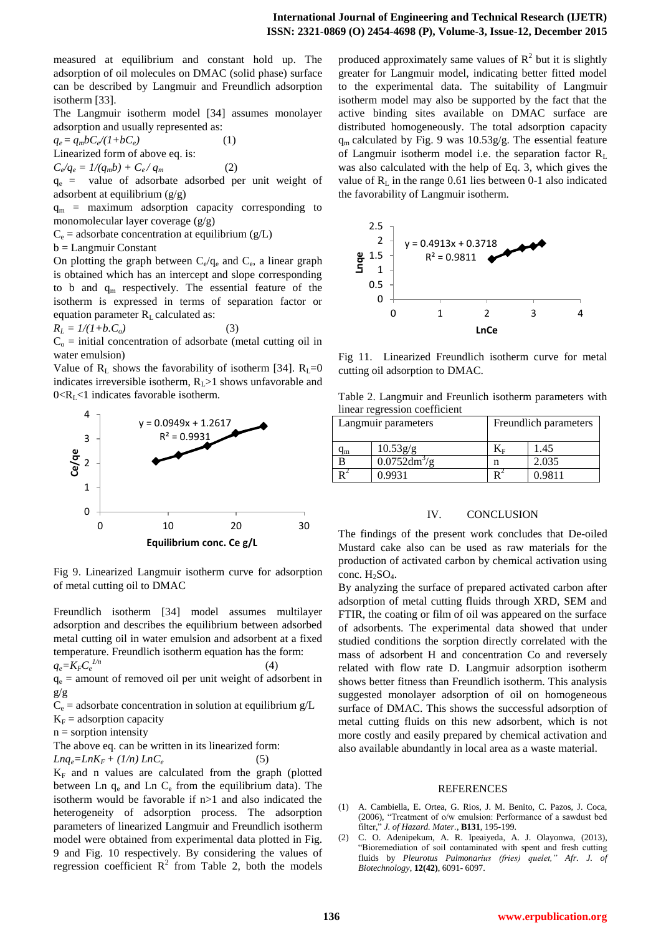measured at equilibrium and constant hold up. The adsorption of oil molecules on DMAC (solid phase) surface can be described by Langmuir and Freundlich adsorption isotherm [33].

The Langmuir isotherm model [34] assumes monolayer adsorption and usually represented as:

 $q_e = q_m bC_e/(1+bC_e)$  (1) Linearized form of above eq. is:

 $C_e/q_e = 1/(q_m b) + C_e/q_m$  (2)

 $q_e$  = value of adsorbate adsorbed per unit weight of adsorbent at equilibrium (g/g)

 $q_m$  = maximum adsorption capacity corresponding to monomolecular layer coverage (g/g)

 $C_e$  = adsorbate concentration at equilibrium (g/L)

b = Langmuir Constant

On plotting the graph between  $C_e/q_e$  and  $C_e$ , a linear graph is obtained which has an intercept and slope corresponding to b and  $q_m$  respectively. The essential feature of the isotherm is expressed in terms of separation factor or equation parameter  $R<sub>L</sub>$  calculated as:

$$
R_L = 1/(1+b.C_o) \tag{3}
$$

 $C<sub>o</sub>$  = initial concentration of adsorbate (metal cutting oil in water emulsion)

Value of  $R_L$  shows the favorability of isotherm [34].  $R_L=0$ indicates irreversible isotherm,  $R_L$  >1 shows unfavorable and  $0 < R<sub>L</sub> < 1$  indicates favorable isotherm.



Fig 9. Linearized Langmuir isotherm curve for adsorption of metal cutting oil to DMAC

Freundlich isotherm [34] model assumes multilayer adsorption and describes the equilibrium between adsorbed metal cutting oil in water emulsion and adsorbent at a fixed temperature. Freundlich isotherm equation has the form:  $q_e = K_F C_e^{-1/n}$  $(4)$ 

 $q_e$  = amount of removed oil per unit weight of adsorbent in g/g

 $C_e$  = adsorbate concentration in solution at equilibrium  $g/L$ 

 $K_F$  = adsorption capacity

 $n =$ sorption intensity

The above eq. can be written in its linearized form:

$$
Lnq_e = LnK_F + (1/n) LnC_e
$$
 (5)

 $K_F$  and n values are calculated from the graph (plotted between Ln  $q_e$  and Ln  $C_e$  from the equilibrium data). The isotherm would be favorable if n>1 and also indicated the heterogeneity of adsorption process. The adsorption parameters of linearized Langmuir and Freundlich isotherm model were obtained from experimental data plotted in Fig. 9 and Fig. 10 respectively. By considering the values of regression coefficient  $R^2$  from Table 2, both the models

produced approximately same values of  $R^2$  but it is slightly greater for Langmuir model, indicating better fitted model to the experimental data. The suitability of Langmuir isotherm model may also be supported by the fact that the active binding sites available on DMAC surface are distributed homogeneously. The total adsorption capacity  $q_m$  calculated by Fig. 9 was 10.53g/g. The essential feature of Langmuir isotherm model i.e. the separation factor  $R_L$ was also calculated with the help of Eq. 3, which gives the value of  $R_{\text{I}}$  in the range 0.61 lies between 0-1 also indicated the favorability of Langmuir isotherm.



Fig 11. Linearized Freundlich isotherm curve for metal cutting oil adsorption to DMAC.

Table 2. Langmuir and Freunlich isotherm parameters with linear regression coefficient

|    | Freundlich parameters<br>Langmuir parameters |  |        |
|----|----------------------------------------------|--|--------|
| 1m | 10.53g/g                                     |  | 1.45   |
|    | $0.0752$ dm <sup>3</sup> /g                  |  | 2.035  |
|    | 0 9931                                       |  | 0.9811 |

#### IV. CONCLUSION

The findings of the present work concludes that De-oiled Mustard cake also can be used as raw materials for the production of activated carbon by chemical activation using conc.  $H_2SO_4$ .

By analyzing the surface of prepared activated carbon after adsorption of metal cutting fluids through XRD, SEM and FTIR, the coating or film of oil was appeared on the surface of adsorbents. The experimental data showed that under studied conditions the sorption directly correlated with the mass of adsorbent H and concentration Co and reversely related with flow rate D. Langmuir adsorption isotherm shows better fitness than Freundlich isotherm. This analysis suggested monolayer adsorption of oil on homogeneous surface of DMAC. This shows the successful adsorption of metal cutting fluids on this new adsorbent, which is not more costly and easily prepared by chemical activation and also available abundantly in local area as a waste material.

#### REFERENCES

- (1) A. Cambiella, E. Ortea, G. Rios, J. M. Benito, C. Pazos, J. Coca, (2006), "Treatment of o/w emulsion: Performance of a sawdust bed filter," *J. of Hazard. Mater.*, **B131**, 195-199.
- (2) C. O. Adenipekum, A. R. Ipeaiyeda, A. J. Olayonwa, (2013), "Bioremediation of soil contaminated with spent and fresh cutting fluids by *Pleurotus Pulmonarius (fries) quelet," Afr. J. of Biotechnology*, **12(42)**, 6091- 6097.